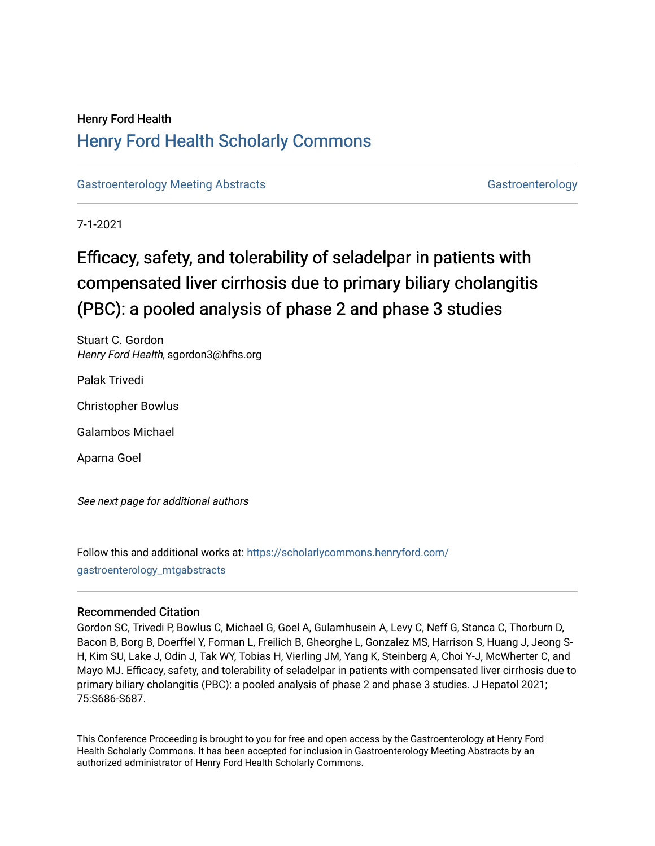# Henry Ford Health [Henry Ford Health Scholarly Commons](https://scholarlycommons.henryford.com/)

[Gastroenterology Meeting Abstracts](https://scholarlycommons.henryford.com/gastroenterology_mtgabstracts) [Gastroenterology](https://scholarlycommons.henryford.com/gastroenterology) Gastroenterology

7-1-2021

# Efficacy, safety, and tolerability of seladelpar in patients with compensated liver cirrhosis due to primary biliary cholangitis (PBC): a pooled analysis of phase 2 and phase 3 studies

Stuart C. Gordon Henry Ford Health, sgordon3@hfhs.org

Palak Trivedi

Christopher Bowlus

Galambos Michael

Aparna Goel

See next page for additional authors

Follow this and additional works at: [https://scholarlycommons.henryford.com/](https://scholarlycommons.henryford.com/gastroenterology_mtgabstracts?utm_source=scholarlycommons.henryford.com%2Fgastroenterology_mtgabstracts%2F125&utm_medium=PDF&utm_campaign=PDFCoverPages) [gastroenterology\\_mtgabstracts](https://scholarlycommons.henryford.com/gastroenterology_mtgabstracts?utm_source=scholarlycommons.henryford.com%2Fgastroenterology_mtgabstracts%2F125&utm_medium=PDF&utm_campaign=PDFCoverPages)

## Recommended Citation

Gordon SC, Trivedi P, Bowlus C, Michael G, Goel A, Gulamhusein A, Levy C, Neff G, Stanca C, Thorburn D, Bacon B, Borg B, Doerffel Y, Forman L, Freilich B, Gheorghe L, Gonzalez MS, Harrison S, Huang J, Jeong S-H, Kim SU, Lake J, Odin J, Tak WY, Tobias H, Vierling JM, Yang K, Steinberg A, Choi Y-J, McWherter C, and Mayo MJ. Efficacy, safety, and tolerability of seladelpar in patients with compensated liver cirrhosis due to primary biliary cholangitis (PBC): a pooled analysis of phase 2 and phase 3 studies. J Hepatol 2021; 75:S686-S687.

This Conference Proceeding is brought to you for free and open access by the Gastroenterology at Henry Ford Health Scholarly Commons. It has been accepted for inclusion in Gastroenterology Meeting Abstracts by an authorized administrator of Henry Ford Health Scholarly Commons.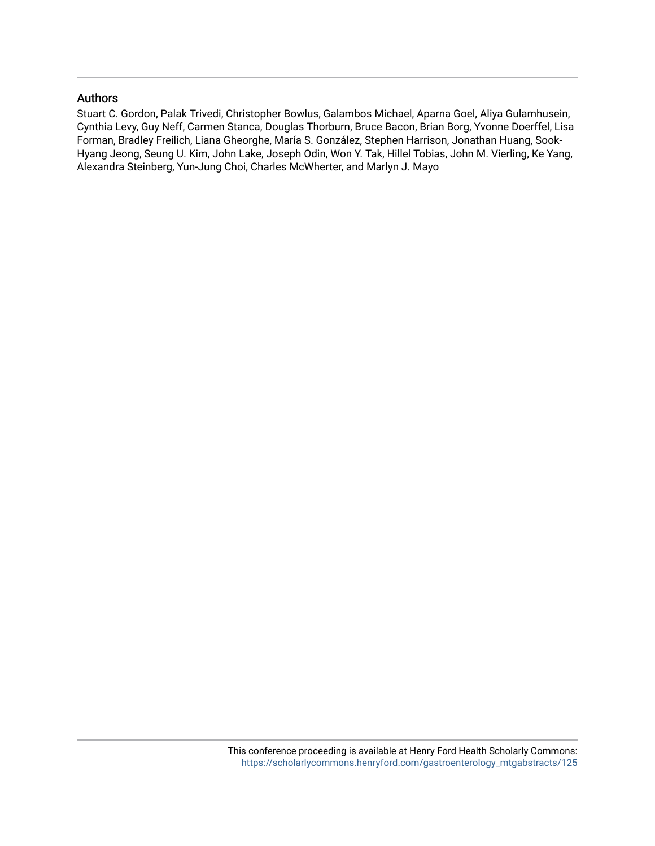### Authors

Stuart C. Gordon, Palak Trivedi, Christopher Bowlus, Galambos Michael, Aparna Goel, Aliya Gulamhusein, Cynthia Levy, Guy Neff, Carmen Stanca, Douglas Thorburn, Bruce Bacon, Brian Borg, Yvonne Doerffel, Lisa Forman, Bradley Freilich, Liana Gheorghe, María S. González, Stephen Harrison, Jonathan Huang, Sook-Hyang Jeong, Seung U. Kim, John Lake, Joseph Odin, Won Y. Tak, Hillel Tobias, John M. Vierling, Ke Yang, Alexandra Steinberg, Yun-Jung Choi, Charles McWherter, and Marlyn J. Mayo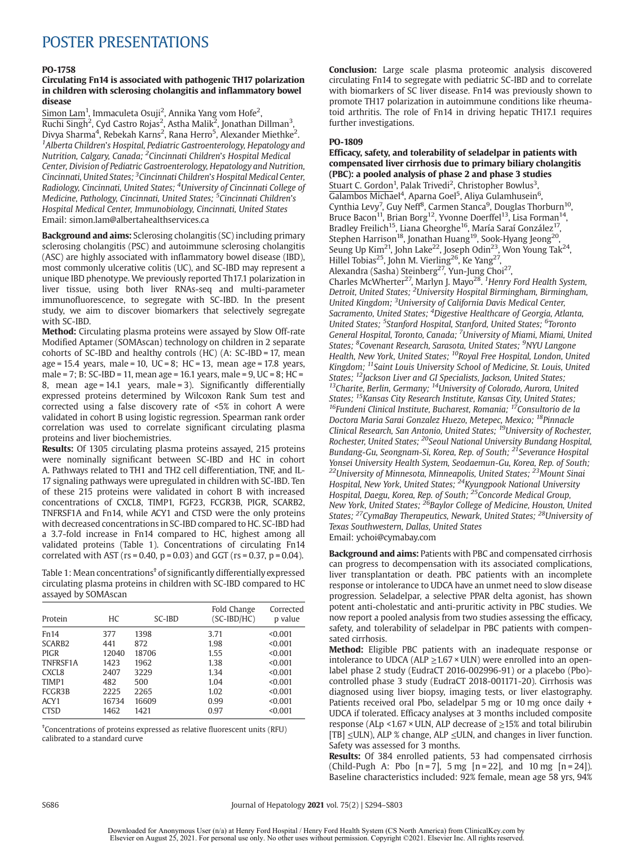## POSTER PRESENTATIONS

#### PO-1758

#### Circulating Fn14 is associated with pathogenic TH17 polarization in children with sclerosing cholangitis and inflammatory bowel disease

Simon Lam<sup>1</sup>, Immaculeta Osuji<sup>2</sup>, Annika Yang vom Hofe<sup>2</sup>,<br>Ruchi Singh<sup>2</sup>, Cyd Castro Rojas<sup>2</sup>, Astha Malik<sup>2</sup>, Jonathan Dillman<sup>3</sup>,<br>Divya Sharma<sup>4</sup>, Rebekah Karns<sup>2</sup>, Rana Herro<sup>5</sup>, Alexander Miethke<sup>2</sup>.<br><sup>1</sup>4lberta Child <sup>1</sup> Alberta Children's Hospital, Pediatric Gastroenterology, Hepatology and Nutrition, Calgary, Canada; <sup>2</sup>Cincinnati Children's Hospital Medical Center, Division of Pediatric Gastroenterology, Hepatology and Nutrition, Cincinnati, United States; <sup>3</sup>Cincinnati Children's Hospital Medical Center, Radiology, Cincinnati, United States; <sup>4</sup>University of Cincinnati College of Medicine, Pathology, Cincinnati, United States; <sup>5</sup>Cincinnati Children's Hospital Medical Center, Immunobiology, Cincinnati, United States Email: simon.lam@albertahealthservices.ca

**Background and aims:** Sclerosing cholangitis (SC) including primary sclerosing cholangitis (PSC) and autoimmune sclerosing cholangitis (ASC) are highly associated with inflammatory bowel disease (IBD), most commonly ulcerative colitis (UC), and SC-IBD may represent a unique IBD phenotype. We previously reported Th17.1 polarization in liver tissue, using both liver RNAs-seq and multi-parameter immunofluorescence, to segregate with SC-IBD. In the present study, we aim to discover biomarkers that selectively segregate with SC-IBD.

Method: Circulating plasma proteins were assayed by Slow Off-rate Modified Aptamer (SOMAscan) technology on children in 2 separate cohorts of SC-IBD and healthy controls (HC) (A: SC-IBD = 17, mean  $age = 15.4$  years, male = 10, UC = 8; HC = 13, mean age = 17.8 years, male = 7; B: SC-IBD = 11, mean age = 16.1 years, male = 9, UC = 8; HC = 8, mean age = 14.1 years, male = 3). Significantly differentially expressed proteins determined by Wilcoxon Rank Sum test and corrected using a false discovery rate of <5% in cohort A were validated in cohort B using logistic regression. Spearman rank order correlation was used to correlate significant circulating plasma proteins and liver biochemistries.

Results: Of 1305 circulating plasma proteins assayed, 215 proteins were nominally significant between SC-IBD and HC in cohort A. Pathways related to TH1 and TH2 cell differentiation, TNF, and IL-17 signaling pathways were upregulated in children with SC-IBD. Ten of these 215 proteins were validated in cohort B with increased concentrations of CXCL8, TIMP1, FGF23, FCGR3B, PIGR, SCARB2, TNFRSF1A and Fn14, while ACY1 and CTSD were the only proteins with decreased concentrations in SC-IBD compared to HC. SC-IBD had a 3.7-fold increase in Fn14 compared to HC, highest among all validated proteins (Table 1). Concentrations of circulating Fn14 correlated with AST ( $rs = 0.40$ ,  $p = 0.03$ ) and GGT ( $rs = 0.37$ ,  $p = 0.04$ ).

Table 1: Mean concentrations<sup>†</sup> of significantly differentially expressed circulating plasma proteins in children with SC-IBD compared to HC assayed by SOMAscan

| Protein            | HC.   | SC-IBD | Fold Change<br>$(SC-IBD/HC)$ | Corrected<br>p value |
|--------------------|-------|--------|------------------------------|----------------------|
| Fn14               | 377   | 1398   | 3.71                         | < 0.001              |
| SCARB <sub>2</sub> | 441   | 872    | 1.98                         | < 0.001              |
| <b>PIGR</b>        | 12040 | 18706  | 1.55                         | < 0.001              |
| TNFRSF1A           | 1423  | 1962   | 1.38                         | < 0.001              |
| CXCL <sub>8</sub>  | 2407  | 3229   | 1.34                         | < 0.001              |
| TIMP1              | 482   | 500    | 1.04                         | < 0.001              |
| FCGR3B             | 2225  | 2265   | 1.02                         | < 0.001              |
| ACY1               | 16734 | 16609  | 0.99                         | < 0.001              |
| <b>CTSD</b>        | 1462  | 1421   | 0.97                         | < 0.001              |

 $^{\text{t}}$ Concentrations of proteins expressed as relative fluorescent units (RFU) calibrated to a standard curve

Conclusion: Large scale plasma proteomic analysis discovered circulating Fn14 to segregate with pediatric SC-IBD and to correlate with biomarkers of SC liver disease. Fn14 was previously shown to promote TH17 polarization in autoimmune conditions like rheumatoid arthritis. The role of Fn14 in driving hepatic TH17.1 requires further investigations.

#### PO-1809

Efficacy, safety, and tolerability of seladelpar in patients with compensated liver cirrhosis due to primary biliary cholangitis (PBC): a pooled analysis of phase 2 and phase 3 studies Stuart C. Gordon<sup>1</sup>, Palak Trivedi<sup>2</sup>, Christopher Bowlus<sup>3</sup>, Galambos Michael<sup>4</sup>, Aparna Goel<sup>5</sup>, Aliya Gulamhusein<sup>6</sup>, Cynthia Levy<sup>7</sup>, Guy Neff<sup>8</sup>, Carmen Stanca<sup>9</sup>, Douglas Thorburn<sup>10</sup>, Bruce Bacon<sup>11</sup>, Brian Borg<sup>12</sup>, Yvonne Doerffel<sup>13</sup>, Lisa Forman<sup>14</sup>, Bradley Freilich<sup>15</sup>, Liana Gheorghe<sup>16</sup>, María Saraí González<sup>17</sup> Stephen Harrison<sup>18</sup>, Jonathan Huang<sup>19</sup>, Sook-Hyang Jeong<sup>20</sup>, Seung Up Kim<sup>21</sup>, John Lake<sup>22</sup>, Joseph Odin<sup>23</sup>, Won Young Tak<sup>24</sup>, Hillel Tobias<sup>25</sup>, John M. Vierling<sup>26</sup>, Ke Yang<sup>27</sup>, Alexandra (Sasha) Steinberg<sup>27</sup>, Yun-Jung Choi<sup>27</sup>, Charles McWherter<sup>27</sup>, Marlyn J. Mayo<sup>28</sup>. <sup>1</sup>Henry Ford Health System,<br>Detroit, United States; <sup>2</sup>University Hospital Birmingham, Birmingham, United Kingdom; <sup>3</sup>University of California Davis Medical Center, Sacramento, United States; <sup>4</sup>Digestive Healthcare of Georgia, Atlanta, United States; <sup>5</sup>Stanford Hospital, Stanford, United States; <sup>6</sup>Toronto General Hospital, Toronto, Canada; <sup>7</sup>University of Miami, Miami, United States; <sup>8</sup>Covenant Research, Sarasota, United States; <sup>9</sup>NYU Langone Health, New York, United States; <sup>10</sup>Royal Free Hospital, London, United Kingdom; <sup>11</sup>Saint Louis University School of Medicine, St. Louis, United States; <sup>12</sup>Jackson Liver and GI Specialists, Jackson, United States; States; <sup>12</sup>Jackson Liver and GI Specialists, Jackson, United States;<br><sup>13</sup>Charite, Berlin, Germany; <sup>14</sup>University of Colorado, Aurora, United States; <sup>15</sup>Kansas City Research Institute, Kansas City, United States;<br><sup>16</sup>Fundeni Clinical Institute, Bucharest, Romania; <sup>17</sup>Consultorio de la Doctora Maria Sarai Gonzalez Huezo, Metepec, Mexico; 18Pinnacle Clinical Research, San Antonio, United States; 19University of Rochester, Rochester, United States; <sup>20</sup>Seoul National University Bundang Hospital, Bundang-Gu, Seongnam-Si, Korea, Rep. of South; <sup>21</sup> Severance Hospital Yonsei University Health System, Seodaemun-Gu, Korea, Rep. of South;  $^{22}$ University of Minnesota, Minneapolis, United States;  $^{23}$ Mount Sinai Hospital, New York, United States; <sup>24</sup>Kyungpook National University Hospital, Daegu, Korea, Rep. of South; <sup>25</sup>Concorde Medical Group, New York, United States; <sup>26</sup>Baylor College of Medicine, Houston, United States; <sup>27</sup>CymaBay Therapeutics, Newark, United States; <sup>28</sup>University of Texas Southwestern, Dallas, United States Email: ychoi@cymabay.com

Background and aims: Patients with PBC and compensated cirrhosis can progress to decompensation with its associated complications, liver transplantation or death. PBC patients with an incomplete response or intolerance to UDCA have an unmet need to slow disease progression. Seladelpar, a selective PPAR delta agonist, has shown potent anti-cholestatic and anti-pruritic activity in PBC studies. We now report a pooled analysis from two studies assessing the efficacy, safety, and tolerability of seladelpar in PBC patients with compensated cirrhosis.

Method: Eligible PBC patients with an inadequate response or intolerance to UDCA (ALP  $\geq$  1.67  $\times$  ULN) were enrolled into an openlabel phase 2 study (EudraCT 2016-002996-91) or a placebo (Pbo) controlled phase 3 study (EudraCT 2018-001171-20). Cirrhosis was diagnosed using liver biopsy, imaging tests, or liver elastography. Patients received oral Pbo, seladelpar 5 mg or 10 mg once daily + UDCA if tolerated. Efficacy analyses at 3 months included composite response (ALp <1.67 × ULN, ALP decrease of ≥15% and total bilirubin [TB]  $\leq$ ULN), ALP % change, ALP  $\leq$ ULN, and changes in liver function. Safety was assessed for 3 months.

Results: Of 384 enrolled patients, 53 had compensated cirrhosis (Child-Pugh A: Pbo  $[n = 7]$ , 5 mg  $[n = 22]$ , and 10 mg  $[n = 24]$ ). Baseline characteristics included: 92% female, mean age 58 yrs, 94%